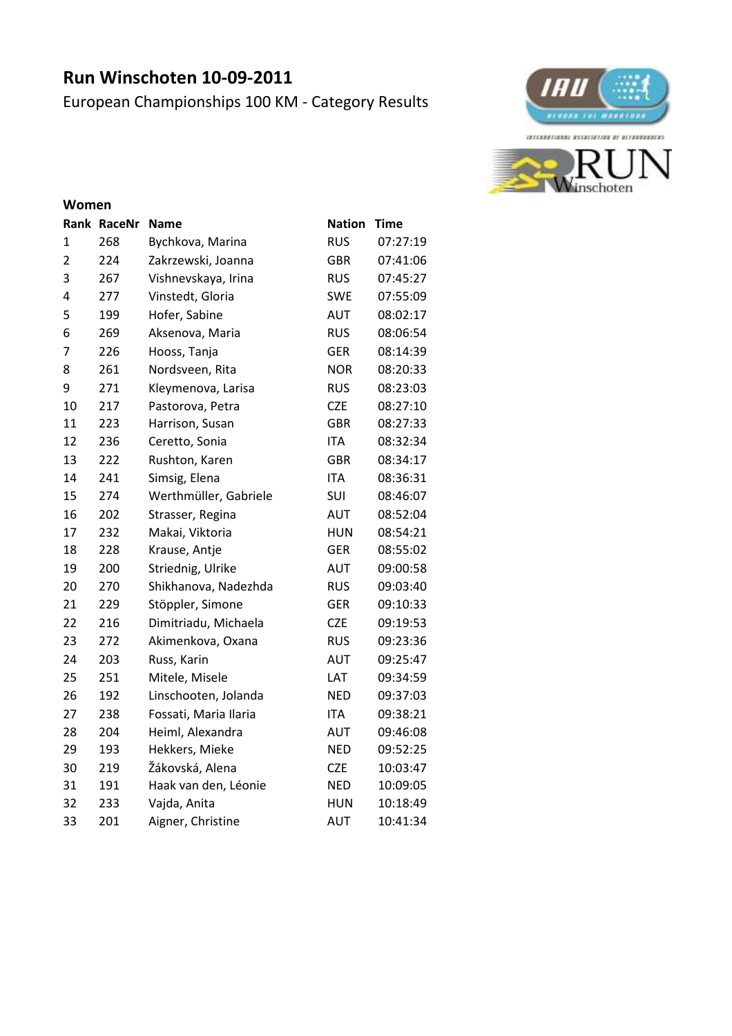# **Run Winschoten 10-09-2011**

European Championships 100 KM - Category Results



#### **Women**

|                | Rank RaceNr | Name                  | <b>Nation</b> | <b>Time</b> |
|----------------|-------------|-----------------------|---------------|-------------|
| 1              | 268         | Bychkova, Marina      | <b>RUS</b>    | 07:27:19    |
| $\overline{2}$ | 224         | Zakrzewski, Joanna    | <b>GBR</b>    | 07:41:06    |
| 3              | 267         | Vishnevskaya, Irina   | <b>RUS</b>    | 07:45:27    |
| 4              | 277         | Vinstedt, Gloria      | <b>SWE</b>    | 07:55:09    |
| 5              | 199         | Hofer, Sabine         | <b>AUT</b>    | 08:02:17    |
| 6              | 269         | Aksenova, Maria       | <b>RUS</b>    | 08:06:54    |
| 7              | 226         | Hooss, Tanja          | <b>GER</b>    | 08:14:39    |
| 8              | 261         | Nordsveen, Rita       | <b>NOR</b>    | 08:20:33    |
| 9              | 271         | Kleymenova, Larisa    | <b>RUS</b>    | 08:23:03    |
| 10             | 217         | Pastorova, Petra      | <b>CZE</b>    | 08:27:10    |
| 11             | 223         | Harrison, Susan       | <b>GBR</b>    | 08:27:33    |
| 12             | 236         | Ceretto, Sonia        | <b>ITA</b>    | 08:32:34    |
| 13             | 222         | Rushton, Karen        | <b>GBR</b>    | 08:34:17    |
| 14             | 241         | Simsig, Elena         | <b>ITA</b>    | 08:36:31    |
| 15             | 274         | Werthmüller, Gabriele | SUI           | 08:46:07    |
| 16             | 202         | Strasser, Regina      | <b>AUT</b>    | 08:52:04    |
| 17             | 232         | Makai, Viktoria       | <b>HUN</b>    | 08:54:21    |
| 18             | 228         | Krause, Antje         | <b>GER</b>    | 08:55:02    |
| 19             | 200         | Striednig, Ulrike     | AUT           | 09:00:58    |
| 20             | 270         | Shikhanova, Nadezhda  | <b>RUS</b>    | 09:03:40    |
| 21             | 229         | Stöppler, Simone      | <b>GER</b>    | 09:10:33    |
| 22             | 216         | Dimitriadu, Michaela  | <b>CZE</b>    | 09:19:53    |
| 23             | 272         | Akimenkova, Oxana     | <b>RUS</b>    | 09:23:36    |
| 24             | 203         | Russ, Karin           | <b>AUT</b>    | 09:25:47    |
| 25             | 251         | Mitele, Misele        | LAT           | 09:34:59    |
| 26             | 192         | Linschooten, Jolanda  | <b>NED</b>    | 09:37:03    |
| 27             | 238         | Fossati, Maria Ilaria | <b>ITA</b>    | 09:38:21    |
| 28             | 204         | Heiml, Alexandra      | AUT           | 09:46:08    |
| 29             | 193         | Hekkers, Mieke        | <b>NED</b>    | 09:52:25    |
| 30             | 219         | Žákovská, Alena       | <b>CZE</b>    | 10:03:47    |
| 31             | 191         | Haak van den, Léonie  | <b>NED</b>    | 10:09:05    |
| 32             | 233         | Vajda, Anita          | <b>HUN</b>    | 10:18:49    |
| 33             | 201         | Aigner, Christine     | <b>AUT</b>    | 10:41:34    |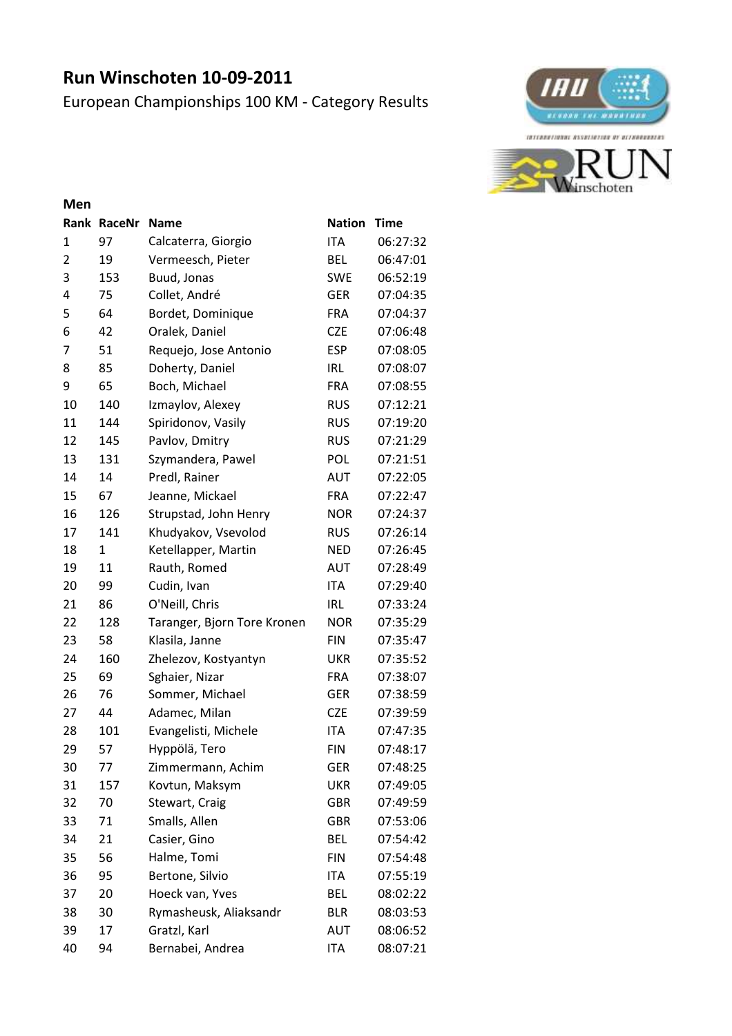# **Run Winschoten 10-09-2011**

European Championships 100 KM - Category Results



#### **Men**

|    | Rank RaceNr | <b>Name</b>                 | <b>Nation</b> | <b>Time</b> |
|----|-------------|-----------------------------|---------------|-------------|
| 1  | 97          | Calcaterra, Giorgio         | ITA           | 06:27:32    |
| 2  | 19          | Vermeesch, Pieter           | <b>BEL</b>    | 06:47:01    |
| 3  | 153         | Buud, Jonas                 | <b>SWE</b>    | 06:52:19    |
| 4  | 75          | Collet, André               | <b>GER</b>    | 07:04:35    |
| 5  | 64          | Bordet, Dominique           | <b>FRA</b>    | 07:04:37    |
| 6  | 42          | Oralek, Daniel              | <b>CZE</b>    | 07:06:48    |
| 7  | 51          | Requejo, Jose Antonio       | <b>ESP</b>    | 07:08:05    |
| 8  | 85          | Doherty, Daniel             | <b>IRL</b>    | 07:08:07    |
| 9  | 65          | Boch, Michael               | <b>FRA</b>    | 07:08:55    |
| 10 | 140         | Izmaylov, Alexey            | <b>RUS</b>    | 07:12:21    |
| 11 | 144         | Spiridonov, Vasily          | <b>RUS</b>    | 07:19:20    |
| 12 | 145         | Pavlov, Dmitry              | <b>RUS</b>    | 07:21:29    |
| 13 | 131         | Szymandera, Pawel           | <b>POL</b>    | 07:21:51    |
| 14 | 14          | Predl, Rainer               | <b>AUT</b>    | 07:22:05    |
| 15 | 67          | Jeanne, Mickael             | <b>FRA</b>    | 07:22:47    |
| 16 | 126         | Strupstad, John Henry       | <b>NOR</b>    | 07:24:37    |
| 17 | 141         | Khudyakov, Vsevolod         | <b>RUS</b>    | 07:26:14    |
| 18 | 1           | Ketellapper, Martin         | <b>NED</b>    | 07:26:45    |
| 19 | 11          | Rauth, Romed                | <b>AUT</b>    | 07:28:49    |
| 20 | 99          | Cudin, Ivan                 | <b>ITA</b>    | 07:29:40    |
| 21 | 86          | O'Neill, Chris              | <b>IRL</b>    | 07:33:24    |
| 22 | 128         | Taranger, Bjorn Tore Kronen | <b>NOR</b>    | 07:35:29    |
| 23 | 58          | Klasila, Janne              | <b>FIN</b>    | 07:35:47    |
| 24 | 160         | Zhelezov, Kostyantyn        | <b>UKR</b>    | 07:35:52    |
| 25 | 69          | Sghaier, Nizar              | <b>FRA</b>    | 07:38:07    |
| 26 | 76          | Sommer, Michael             | GER           | 07:38:59    |
| 27 | 44          | Adamec, Milan               | <b>CZE</b>    | 07:39:59    |
| 28 | 101         | Evangelisti, Michele        | <b>ITA</b>    | 07:47:35    |
| 29 | 57          | Hyppölä, Tero               | <b>FIN</b>    | 07:48:17    |
| 30 | 77          | Zimmermann, Achim           | <b>GER</b>    | 07:48:25    |
| 31 | 157         | Kovtun, Maksym              | <b>UKR</b>    | 07:49:05    |
| 32 | 70          | Stewart, Craig              | GBR           | 07:49:59    |
| 33 | 71          | Smalls, Allen               | <b>GBR</b>    | 07:53:06    |
| 34 | 21          | Casier, Gino                | BEL           | 07:54:42    |
| 35 | 56          | Halme, Tomi                 | <b>FIN</b>    | 07:54:48    |
| 36 | 95          | Bertone, Silvio             | ITA           | 07:55:19    |
| 37 | 20          | Hoeck van, Yves             | BEL           | 08:02:22    |
| 38 | 30          | Rymasheusk, Aliaksandr      | <b>BLR</b>    | 08:03:53    |
| 39 | 17          | Gratzl, Karl                | AUT           | 08:06:52    |
| 40 | 94          | Bernabei, Andrea            | ITA           | 08:07:21    |